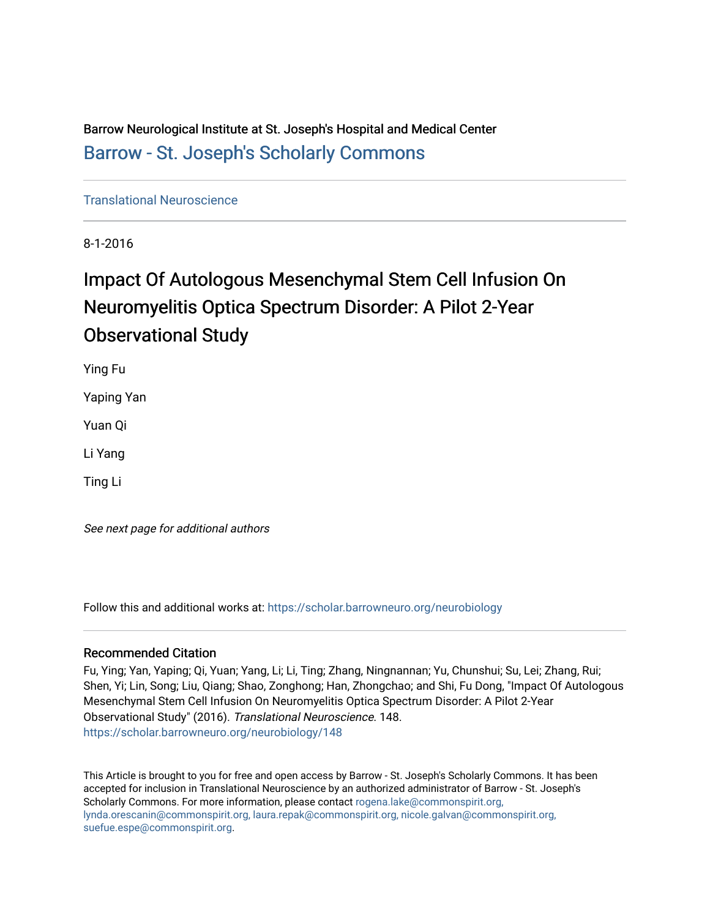Barrow Neurological Institute at St. Joseph's Hospital and Medical Center [Barrow - St. Joseph's Scholarly Commons](https://scholar.barrowneuro.org/) 

[Translational Neuroscience](https://scholar.barrowneuro.org/neurobiology)

8-1-2016

# Impact Of Autologous Mesenchymal Stem Cell Infusion On Neuromyelitis Optica Spectrum Disorder: A Pilot 2-Year Observational Study

Ying Fu

Yaping Yan

Yuan Qi

Li Yang

Ting Li

See next page for additional authors

Follow this and additional works at: [https://scholar.barrowneuro.org/neurobiology](https://scholar.barrowneuro.org/neurobiology?utm_source=scholar.barrowneuro.org%2Fneurobiology%2F148&utm_medium=PDF&utm_campaign=PDFCoverPages)

## Recommended Citation

Fu, Ying; Yan, Yaping; Qi, Yuan; Yang, Li; Li, Ting; Zhang, Ningnannan; Yu, Chunshui; Su, Lei; Zhang, Rui; Shen, Yi; Lin, Song; Liu, Qiang; Shao, Zonghong; Han, Zhongchao; and Shi, Fu Dong, "Impact Of Autologous Mesenchymal Stem Cell Infusion On Neuromyelitis Optica Spectrum Disorder: A Pilot 2-Year Observational Study" (2016). Translational Neuroscience. 148. [https://scholar.barrowneuro.org/neurobiology/148](https://scholar.barrowneuro.org/neurobiology/148?utm_source=scholar.barrowneuro.org%2Fneurobiology%2F148&utm_medium=PDF&utm_campaign=PDFCoverPages)

This Article is brought to you for free and open access by Barrow - St. Joseph's Scholarly Commons. It has been accepted for inclusion in Translational Neuroscience by an authorized administrator of Barrow - St. Joseph's Scholarly Commons. For more information, please contact [rogena.lake@commonspirit.org,](mailto:rogena.lake@commonspirit.org,%20lynda.orescanin@commonspirit.org,%20laura.repak@commonspirit.org,%20nicole.galvan@commonspirit.org,%20suefue.espe@commonspirit.org) [lynda.orescanin@commonspirit.org, laura.repak@commonspirit.org, nicole.galvan@commonspirit.org,](mailto:rogena.lake@commonspirit.org,%20lynda.orescanin@commonspirit.org,%20laura.repak@commonspirit.org,%20nicole.galvan@commonspirit.org,%20suefue.espe@commonspirit.org)  [suefue.espe@commonspirit.org](mailto:rogena.lake@commonspirit.org,%20lynda.orescanin@commonspirit.org,%20laura.repak@commonspirit.org,%20nicole.galvan@commonspirit.org,%20suefue.espe@commonspirit.org).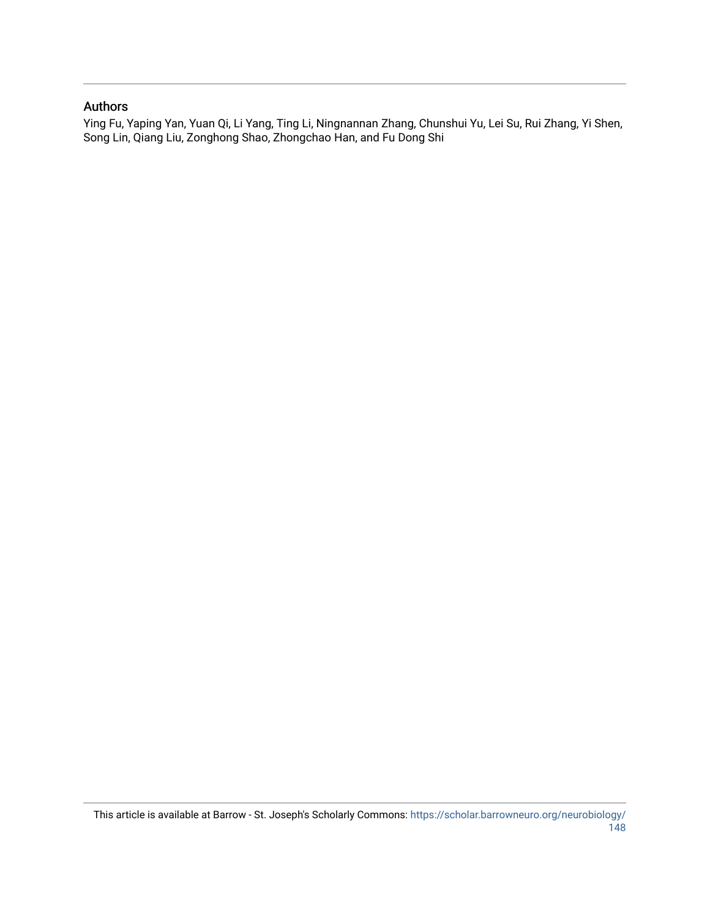## Authors

Ying Fu, Yaping Yan, Yuan Qi, Li Yang, Ting Li, Ningnannan Zhang, Chunshui Yu, Lei Su, Rui Zhang, Yi Shen, Song Lin, Qiang Liu, Zonghong Shao, Zhongchao Han, and Fu Dong Shi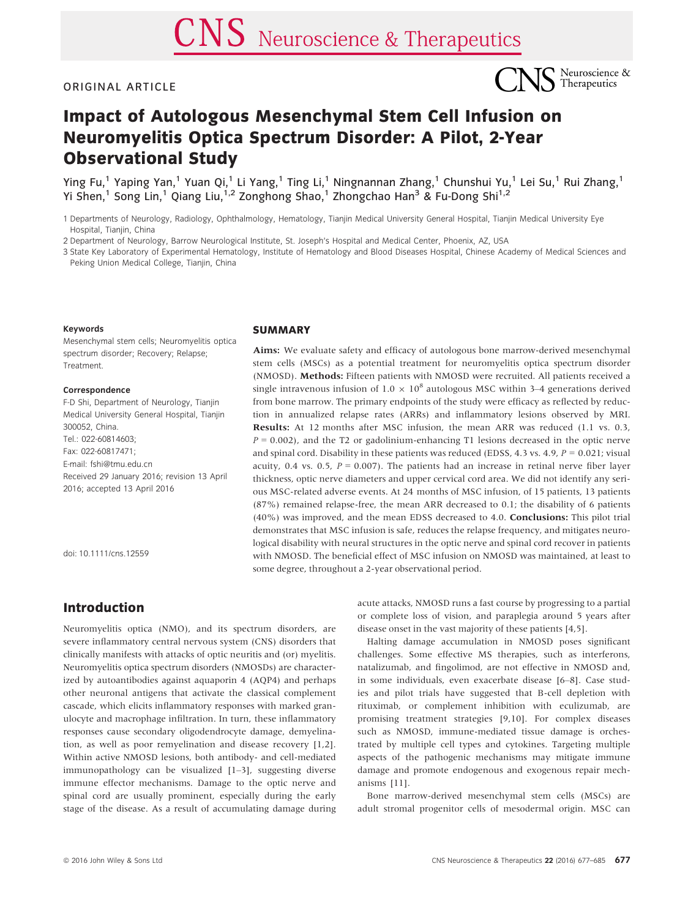## ORIGINAL ARTICLE



## Impact of Autologous Mesenchymal Stem Cell Infusion on Neuromyelitis Optica Spectrum Disorder: A Pilot, 2-Year Observational Study

Ying Fu,1 Yaping Yan,1 Yuan Qi,1 Li Yang,1 Ting Li,1 Ningnannan Zhang,1 Chunshui Yu,1 Lei Su,1 Rui Zhang,1<br>Yi Shen <sup>1</sup> Song Lin <sup>1</sup> Oiang Liu <sup>1,2</sup> Zonghong Shao <sup>1</sup> Zhongchao Han<sup>3</sup> & Fu-Dong Shi<sup>1,2</sup> Yi Shen,<sup>1</sup> Song Lin,<sup>1</sup> Qiang Liu,1,2 Zonghong Shao,<sup>1</sup> Zhongchao Han<sup>3</sup> & Fu-Dong Shi1,2

1 Departments of Neurology, Radiology, Ophthalmology, Hematology, Tianjin Medical University General Hospital, Tianjin Medical University Eye Hospital, Tianjin, China

2 Department of Neurology, Barrow Neurological Institute, St. Joseph's Hospital and Medical Center, Phoenix, AZ, USA

3 State Key Laboratory of Experimental Hematology, Institute of Hematology and Blood Diseases Hospital, Chinese Academy of Medical Sciences and Peking Union Medical College, Tianjin, China

#### Keywords

Mesenchymal stem cells; Neuromyelitis optica spectrum disorder; Recovery; Relapse; Treatment.

#### Correspondence

F-D Shi, Department of Neurology, Tianjin Medical University General Hospital, Tianjin 300052, China. Tel.: 022-60814603; Fax: 022-60817471; E-mail: fshi@tmu.edu.cn Received 29 January 2016; revision 13 April 2016; accepted 13 April 2016

doi: 10.1111/cns.12559

#### **SUMMARY**

Aims: We evaluate safety and efficacy of autologous bone marrow-derived mesenchymal stem cells (MSCs) as a potential treatment for neuromyelitis optica spectrum disorder (NMOSD). Methods: Fifteen patients with NMOSD were recruited. All patients received a single intravenous infusion of  $1.0 \times 10^8$  autologous MSC within 3–4 generations derived from bone marrow. The primary endpoints of the study were efficacy as reflected by reduction in annualized relapse rates (ARRs) and inflammatory lesions observed by MRI. Results: At 12 months after MSC infusion, the mean ARR was reduced (1.1 vs. 0.3,  $P = 0.002$ ), and the T2 or gadolinium-enhancing T1 lesions decreased in the optic nerve and spinal cord. Disability in these patients was reduced (EDSS, 4.3 vs. 4.9,  $P = 0.021$ ; visual acuity, 0.4 vs. 0.5,  $P = 0.007$ ). The patients had an increase in retinal nerve fiber layer thickness, optic nerve diameters and upper cervical cord area. We did not identify any serious MSC-related adverse events. At 24 months of MSC infusion, of 15 patients, 13 patients (87%) remained relapse-free, the mean ARR decreased to 0.1; the disability of 6 patients (40%) was improved, and the mean EDSS decreased to 4.0. Conclusions: This pilot trial demonstrates that MSC infusion is safe, reduces the relapse frequency, and mitigates neurological disability with neural structures in the optic nerve and spinal cord recover in patients with NMOSD. The beneficial effect of MSC infusion on NMOSD was maintained, at least to some degree, throughout a 2-year observational period.

## Introduction

Neuromyelitis optica (NMO), and its spectrum disorders, are severe inflammatory central nervous system (CNS) disorders that clinically manifests with attacks of optic neuritis and (or) myelitis. Neuromyelitis optica spectrum disorders (NMOSDs) are characterized by autoantibodies against aquaporin 4 (AQP4) and perhaps other neuronal antigens that activate the classical complement cascade, which elicits inflammatory responses with marked granulocyte and macrophage infiltration. In turn, these inflammatory responses cause secondary oligodendrocyte damage, demyelination, as well as poor remyelination and disease recovery [1,2]. Within active NMOSD lesions, both antibody- and cell-mediated immunopathology can be visualized [1–3], suggesting diverse immune effector mechanisms. Damage to the optic nerve and spinal cord are usually prominent, especially during the early stage of the disease. As a result of accumulating damage during acute attacks, NMOSD runs a fast course by progressing to a partial or complete loss of vision, and paraplegia around 5 years after disease onset in the vast majority of these patients [4,5].

Halting damage accumulation in NMOSD poses significant challenges. Some effective MS therapies, such as interferons, natalizumab, and fingolimod, are not effective in NMOSD and, in some individuals, even exacerbate disease [6–8]. Case studies and pilot trials have suggested that B-cell depletion with rituximab, or complement inhibition with eculizumab, are promising treatment strategies [9,10]. For complex diseases such as NMOSD, immune-mediated tissue damage is orchestrated by multiple cell types and cytokines. Targeting multiple aspects of the pathogenic mechanisms may mitigate immune damage and promote endogenous and exogenous repair mechanisms [11].

Bone marrow-derived mesenchymal stem cells (MSCs) are adult stromal progenitor cells of mesodermal origin. MSC can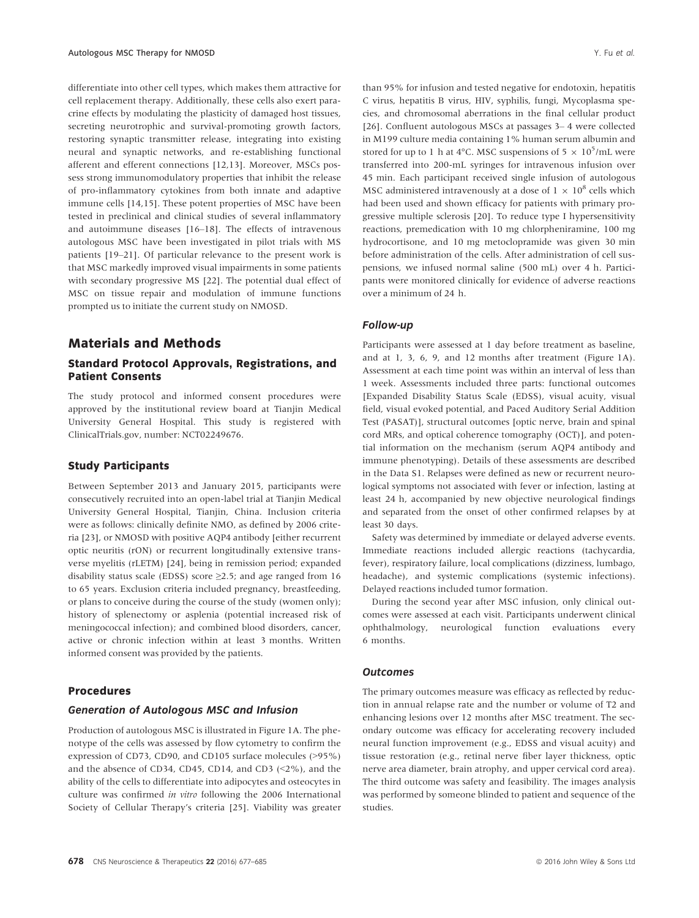differentiate into other cell types, which makes them attractive for cell replacement therapy. Additionally, these cells also exert paracrine effects by modulating the plasticity of damaged host tissues, secreting neurotrophic and survival-promoting growth factors, restoring synaptic transmitter release, integrating into existing neural and synaptic networks, and re-establishing functional afferent and efferent connections [12,13]. Moreover, MSCs possess strong immunomodulatory properties that inhibit the release of pro-inflammatory cytokines from both innate and adaptive immune cells [14,15]. These potent properties of MSC have been tested in preclinical and clinical studies of several inflammatory and autoimmune diseases [16–18]. The effects of intravenous autologous MSC have been investigated in pilot trials with MS patients [19–21]. Of particular relevance to the present work is that MSC markedly improved visual impairments in some patients with secondary progressive MS [22]. The potential dual effect of MSC on tissue repair and modulation of immune functions prompted us to initiate the current study on NMOSD.

## Materials and Methods

#### Standard Protocol Approvals, Registrations, and Patient Consents

The study protocol and informed consent procedures were approved by the institutional review board at Tianjin Medical University General Hospital. This study is registered with ClinicalTrials.gov, number: NCT02249676.

#### Study Participants

Between September 2013 and January 2015, participants were consecutively recruited into an open-label trial at Tianjin Medical University General Hospital, Tianjin, China. Inclusion criteria were as follows: clinically definite NMO, as defined by 2006 criteria [23], or NMOSD with positive AQP4 antibody [either recurrent optic neuritis (rON) or recurrent longitudinally extensive transverse myelitis (rLETM) [24], being in remission period; expanded disability status scale (EDSS) score ≥2.5; and age ranged from 16 to 65 years. Exclusion criteria included pregnancy, breastfeeding, or plans to conceive during the course of the study (women only); history of splenectomy or asplenia (potential increased risk of meningococcal infection); and combined blood disorders, cancer, active or chronic infection within at least 3 months. Written informed consent was provided by the patients.

## Procedures

#### Generation of Autologous MSC and Infusion

Production of autologous MSC is illustrated in Figure 1A. The phenotype of the cells was assessed by flow cytometry to confirm the expression of CD73, CD90, and CD105 surface molecules (>95%) and the absence of CD34, CD45, CD14, and CD3 (<2%), and the ability of the cells to differentiate into adipocytes and osteocytes in culture was confirmed in vitro following the 2006 International Society of Cellular Therapy's criteria [25]. Viability was greater than 95% for infusion and tested negative for endotoxin, hepatitis C virus, hepatitis B virus, HIV, syphilis, fungi, Mycoplasma species, and chromosomal aberrations in the final cellular product [26]. Confluent autologous MSCs at passages 3– 4 were collected in M199 culture media containing 1% human serum albumin and stored for up to 1 h at 4°C. MSC suspensions of 5  $\times$  10<sup>5</sup>/mL were transferred into 200-mL syringes for intravenous infusion over 45 min. Each participant received single infusion of autologous MSC administered intravenously at a dose of  $1 \times 10^8$  cells which had been used and shown efficacy for patients with primary progressive multiple sclerosis [20]. To reduce type I hypersensitivity reactions, premedication with 10 mg chlorpheniramine, 100 mg hydrocortisone, and 10 mg metoclopramide was given 30 min before administration of the cells. After administration of cell suspensions, we infused normal saline (500 mL) over 4 h. Participants were monitored clinically for evidence of adverse reactions over a minimum of 24 h.

#### Follow-up

Participants were assessed at 1 day before treatment as baseline, and at 1, 3, 6, 9, and 12 months after treatment (Figure 1A). Assessment at each time point was within an interval of less than 1 week. Assessments included three parts: functional outcomes [Expanded Disability Status Scale (EDSS), visual acuity, visual field, visual evoked potential, and Paced Auditory Serial Addition Test (PASAT)], structural outcomes [optic nerve, brain and spinal cord MRs, and optical coherence tomography (OCT)], and potential information on the mechanism (serum AQP4 antibody and immune phenotyping). Details of these assessments are described in the Data S1. Relapses were defined as new or recurrent neurological symptoms not associated with fever or infection, lasting at least 24 h, accompanied by new objective neurological findings and separated from the onset of other confirmed relapses by at least 30 days.

Safety was determined by immediate or delayed adverse events. Immediate reactions included allergic reactions (tachycardia, fever), respiratory failure, local complications (dizziness, lumbago, headache), and systemic complications (systemic infections). Delayed reactions included tumor formation.

During the second year after MSC infusion, only clinical outcomes were assessed at each visit. Participants underwent clinical ophthalmology, neurological function evaluations every 6 months.

#### **Outcomes**

The primary outcomes measure was efficacy as reflected by reduction in annual relapse rate and the number or volume of T2 and enhancing lesions over 12 months after MSC treatment. The secondary outcome was efficacy for accelerating recovery included neural function improvement (e.g., EDSS and visual acuity) and tissue restoration (e.g., retinal nerve fiber layer thickness, optic nerve area diameter, brain atrophy, and upper cervical cord area). The third outcome was safety and feasibility. The images analysis was performed by someone blinded to patient and sequence of the studies.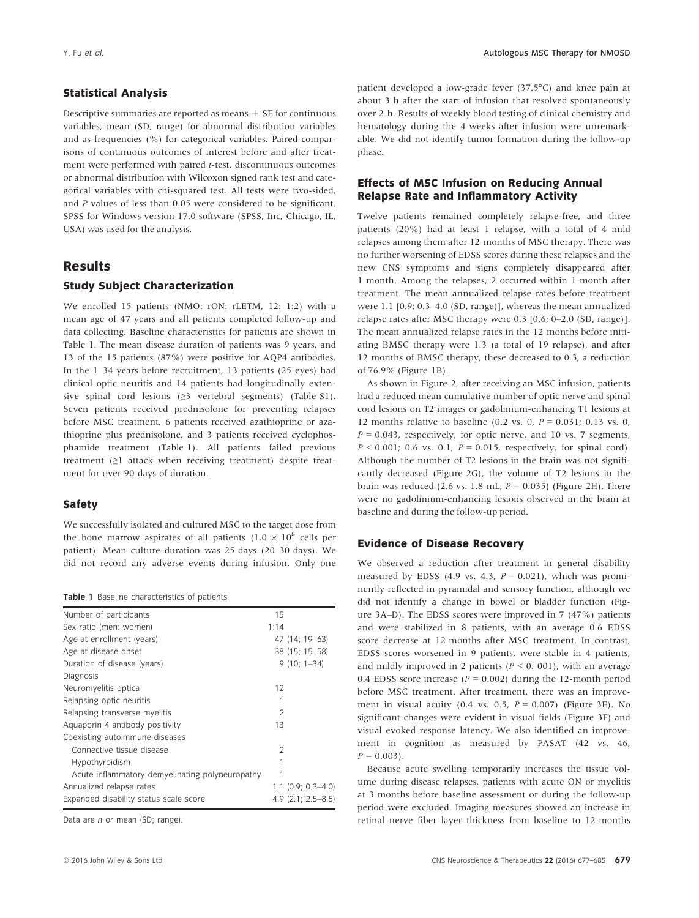## Statistical Analysis

Descriptive summaries are reported as means  $\pm$  SE for continuous variables, mean (SD, range) for abnormal distribution variables and as frequencies (%) for categorical variables. Paired comparisons of continuous outcomes of interest before and after treatment were performed with paired t-test, discontinuous outcomes or abnormal distribution with Wilcoxon signed rank test and categorical variables with chi-squared test. All tests were two-sided, and P values of less than 0.05 were considered to be significant. SPSS for Windows version 17.0 software (SPSS, Inc, Chicago, IL, USA) was used for the analysis.

## Results

## Study Subject Characterization

We enrolled 15 patients (NMO: rON: rLETM, 12: 1:2) with a mean age of 47 years and all patients completed follow-up and data collecting. Baseline characteristics for patients are shown in Table 1. The mean disease duration of patients was 9 years, and 13 of the 15 patients (87%) were positive for AQP4 antibodies. In the 1–34 years before recruitment, 13 patients (25 eyes) had clinical optic neuritis and 14 patients had longitudinally extensive spinal cord lesions (≥3 vertebral segments) (Table S1). Seven patients received prednisolone for preventing relapses before MSC treatment, 6 patients received azathioprine or azathioprine plus prednisolone, and 3 patients received cyclophosphamide treatment (Table 1). All patients failed previous treatment (≥1 attack when receiving treatment) despite treatment for over 90 days of duration.

#### Safety

We successfully isolated and cultured MSC to the target dose from the bone marrow aspirates of all patients  $(1.0 \times 10^8 \text{ cells per}$ patient). Mean culture duration was 25 days (20–30 days). We did not record any adverse events during infusion. Only one

Table 1 Baseline characteristics of patients

| Number of participants                          | 15                   |
|-------------------------------------------------|----------------------|
| Sex ratio (men: women)                          | 1:14                 |
| Age at enrollment (years)                       | 47 (14; 19-63)       |
| Age at disease onset                            | 38 (15; 15-58)       |
| Duration of disease (years)                     | $9(10; 1 - 34)$      |
| Diagnosis                                       |                      |
| Neuromyelitis optica                            | 12                   |
| Relapsing optic neuritis                        |                      |
| Relapsing transverse myelitis                   | $\overline{2}$       |
| Aquaporin 4 antibody positivity                 | 13                   |
| Coexisting autoimmune diseases                  |                      |
| Connective tissue disease                       | $\mathfrak{D}$       |
| Hypothyroidism                                  |                      |
| Acute inflammatory demyelinating polyneuropathy |                      |
| Annualized relapse rates                        | $1.1$ (0.9; 0.3-4.0) |
| Expanded disability status scale score          | $4.9$ (2.1; 2.5-8.5) |
|                                                 |                      |

Data are *n* or mean (SD; range).

patient developed a low-grade fever (37.5°C) and knee pain at about 3 h after the start of infusion that resolved spontaneously over 2 h. Results of weekly blood testing of clinical chemistry and hematology during the 4 weeks after infusion were unremarkable. We did not identify tumor formation during the follow-up phase.

## Effects of MSC Infusion on Reducing Annual Relapse Rate and Inflammatory Activity

Twelve patients remained completely relapse-free, and three patients (20%) had at least 1 relapse, with a total of 4 mild relapses among them after 12 months of MSC therapy. There was no further worsening of EDSS scores during these relapses and the new CNS symptoms and signs completely disappeared after 1 month. Among the relapses, 2 occurred within 1 month after treatment. The mean annualized relapse rates before treatment were 1.1 [0.9; 0.3–4.0 (SD, range)], whereas the mean annualized relapse rates after MSC therapy were 0.3 [0.6; 0–2.0 (SD, range)]. The mean annualized relapse rates in the 12 months before initiating BMSC therapy were 1.3 (a total of 19 relapse), and after 12 months of BMSC therapy, these decreased to 0.3, a reduction of 76.9% (Figure 1B).

As shown in Figure 2, after receiving an MSC infusion, patients had a reduced mean cumulative number of optic nerve and spinal cord lesions on T2 images or gadolinium-enhancing T1 lesions at 12 months relative to baseline (0.2 vs. 0,  $P = 0.031$ ; 0.13 vs. 0,  $P = 0.043$ , respectively, for optic nerve, and 10 vs. 7 segments,  $P < 0.001$ ; 0.6 vs. 0.1,  $P = 0.015$ , respectively, for spinal cord). Although the number of T2 lesions in the brain was not significantly decreased (Figure 2G), the volume of T2 lesions in the brain was reduced (2.6 vs. 1.8 mL,  $P = 0.035$ ) (Figure 2H). There were no gadolinium-enhancing lesions observed in the brain at baseline and during the follow-up period.

#### Evidence of Disease Recovery

We observed a reduction after treatment in general disability measured by EDSS (4.9 vs. 4.3,  $P = 0.021$ ), which was prominently reflected in pyramidal and sensory function, although we did not identify a change in bowel or bladder function (Figure 3A–D). The EDSS scores were improved in 7 (47%) patients and were stabilized in 8 patients, with an average 0.6 EDSS score decrease at 12 months after MSC treatment. In contrast, EDSS scores worsened in 9 patients, were stable in 4 patients, and mildly improved in 2 patients ( $P \le 0$ . 001), with an average 0.4 EDSS score increase ( $P = 0.002$ ) during the 12-month period before MSC treatment. After treatment, there was an improvement in visual acuity (0.4 vs. 0.5,  $P = 0.007$ ) (Figure 3E). No significant changes were evident in visual fields (Figure 3F) and visual evoked response latency. We also identified an improvement in cognition as measured by PASAT (42 vs. 46,  $P = 0.003$ .

Because acute swelling temporarily increases the tissue volume during disease relapses, patients with acute ON or myelitis at 3 months before baseline assessment or during the follow-up period were excluded. Imaging measures showed an increase in retinal nerve fiber layer thickness from baseline to 12 months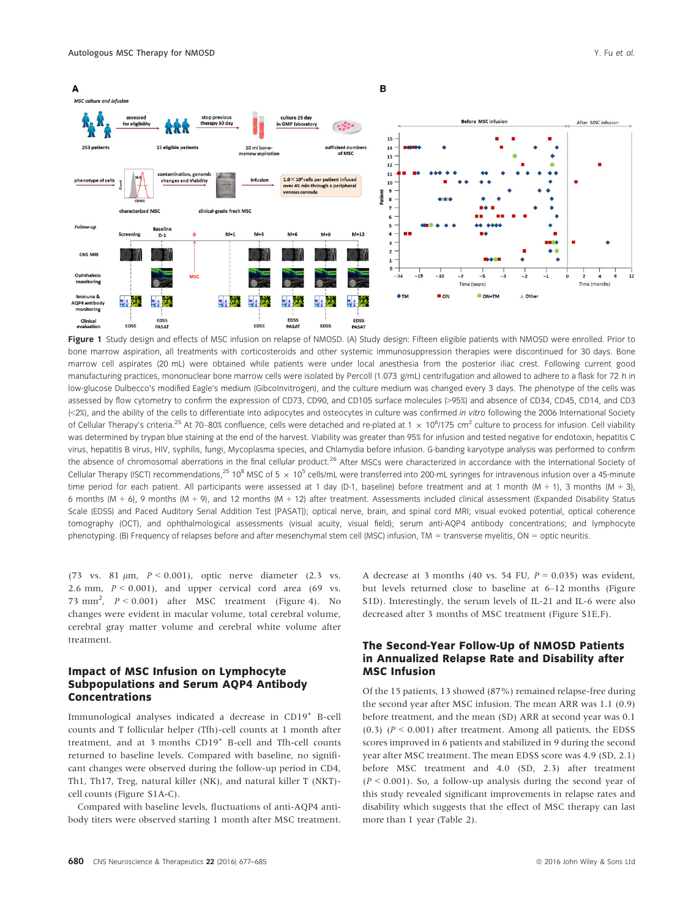changes and Viability

Baselli<br>D-1

EDSS

PASA

Screening

24.50

**EDSS** 



253 patients

phenotype of cell:

Follow-up

CNS MR

Ophthalmic<br>monitoring

**Clinical**<br>evaluatio



clinical-grade fresh MSC

 $M+1$ 

24.23

v aspiration

 $M+3$ 

24.魏

**EDSS** 

 $M+6$ 

4.勝

**EDSS** 

**PASAT** 

 $1.0 \times 10^8$  cells per patient infused<br>over 45 min through a peripheral

 $M + S$ 

24.路

EDSS



Figure 1 Study design and effects of MSC infusion on relapse of NMOSD. (A) Study design: Fifteen eligible patients with NMOSD were enrolled. Prior to bone marrow aspiration, all treatments with corticosteroids and other systemic immunosuppression therapies were discontinued for 30 days. Bone marrow cell aspirates (20 mL) were obtained while patients were under local anesthesia from the posterior iliac crest. Following current good manufacturing practices, mononuclear bone marrow cells were isolated by Percoll (1.073 g/mL) centrifugation and allowed to adhere to a flask for 72 h in low-glucose Dulbecco's modified Eagle's medium (GibcoInvitrogen), and the culture medium was changed every 3 days. The phenotype of the cells was assessed by flow cytometry to confirm the expression of CD73, CD90, and CD105 surface molecules (>95%) and absence of CD34, CD45, CD14, and CD3 (<2%), and the ability of the cells to differentiate into adipocytes and osteocytes in culture was confirmed in vitro following the 2006 International Society of Cellular Therapy's criteria.<sup>25</sup> At 70–80% confluence, cells were detached and re-plated at 1  $\times$  10<sup>6</sup>/175 cm<sup>2</sup> culture to process for infusion. Cell viability was determined by trypan blue staining at the end of the harvest. Viability was greater than 95% for infusion and tested negative for endotoxin, hepatitis C virus, hepatitis B virus, HIV, syphilis, fungi, Mycoplasma species, and Chlamydia before infusion. G-banding karyotype analysis was performed to confirm the absence of chromosomal aberrations in the final cellular product.<sup>26</sup> After MSCs were characterized in accordance with the International Society of Cellular Therapy (ISCT) recommendations,<sup>25</sup> 10<sup>8</sup> MSC of 5  $\times$  10<sup>5</sup> cells/mL were transferred into 200-mL syringes for intravenous infusion over a 45-minute time period for each patient. All participants were assessed at 1 day (D-1, baseline) before treatment and at 1 month (M + 1), 3 months (M + 3), 6 months (M + 6), 9 months (M + 9), and 12 months (M + 12) after treatment. Assessments included clinical assessment (Expanded Disability Status Scale (EDSS) and Paced Auditory Serial Addition Test [PASAT]); optical nerve, brain, and spinal cord MRI; visual evoked potential, optical coherence tomography (OCT), and ophthalmological assessments (visual acuity, visual field); serum anti-AQP4 antibody concentrations; and lymphocyte phenotyping. (B) Frequency of relapses before and after mesenchymal stem cell (MSC) infusion, TM = transverse myelitis, ON = optic neuritis.

 $M+12$ 

34 BS

**EDSS<br>PASAT** 

(73 vs. 81  $\mu$ m,  $P < 0.001$ ), optic nerve diameter (2.3 vs. 2.6 mm,  $P < 0.001$ ), and upper cervical cord area (69 vs. 73 mm<sup>2</sup>,  $P < 0.001$ ) after MSC treatment (Figure 4). No changes were evident in macular volume, total cerebral volume, cerebral gray matter volume and cerebral white volume after treatment.

## Impact of MSC Infusion on Lymphocyte Subpopulations and Serum AQP4 Antibody Concentrations

Immunological analyses indicated a decrease in CD19+ B-cell counts and T follicular helper (Tfh)-cell counts at 1 month after treatment, and at 3 months CD19<sup>+</sup> B-cell and Tfh-cell counts returned to baseline levels. Compared with baseline, no significant changes were observed during the follow-up period in CD4, Th1, Th17, Treg, natural killer (NK), and natural killer T (NKT) cell counts (Figure S1A-C).

Compared with baseline levels, fluctuations of anti-AQP4 antibody titers were observed starting 1 month after MSC treatment.

A decrease at 3 months (40 vs. 54 FU,  $P = 0.035$ ) was evident, but levels returned close to baseline at 6–12 months (Figure S1D). Interestingly, the serum levels of IL-21 and IL-6 were also decreased after 3 months of MSC treatment (Figure S1E,F).

## The Second-Year Follow-Up of NMOSD Patients in Annualized Relapse Rate and Disability after MSC Infusion

Of the 15 patients, 13 showed (87%) remained relapse-free during the second year after MSC infusion. The mean ARR was 1.1 (0.9) before treatment, and the mean (SD) ARR at second year was 0.1 (0.3)  $(P < 0.001)$  after treatment. Among all patients, the EDSS scores improved in 6 patients and stabilized in 9 during the second year after MSC treatment. The mean EDSS score was 4.9 (SD, 2.1) before MSC treatment and 4.0 (SD, 2.3) after treatment  $(P < 0.001)$ . So, a follow-up analysis during the second year of this study revealed significant improvements in relapse rates and disability which suggests that the effect of MSC therapy can last more than 1 year (Table 2).

B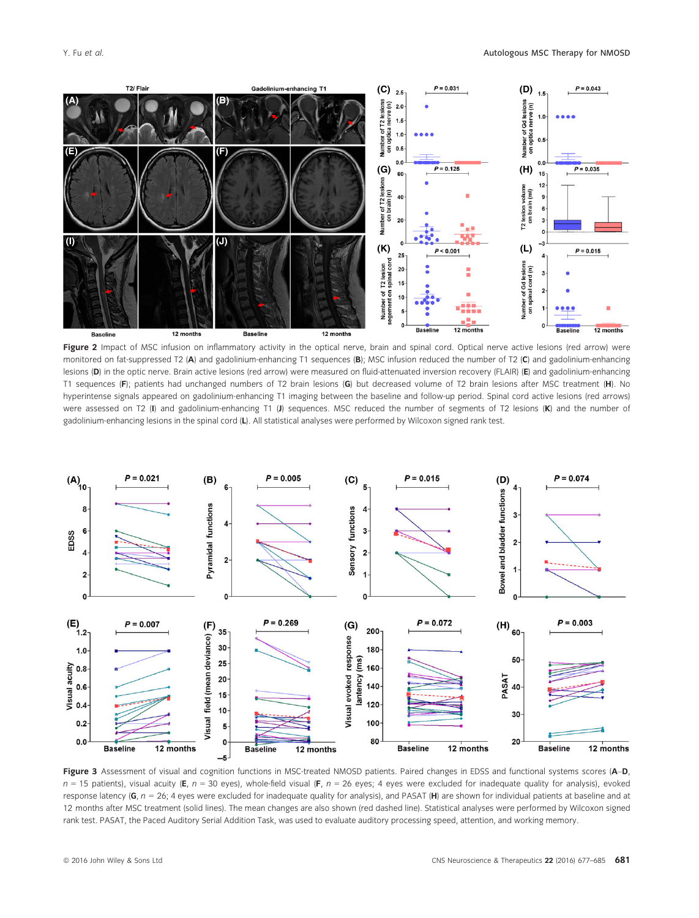

Figure 2 Impact of MSC infusion on inflammatory activity in the optical nerve, brain and spinal cord. Optical nerve active lesions (red arrow) were monitored on fat-suppressed T2 (A) and gadolinium-enhancing T1 sequences (B); MSC infusion reduced the number of T2 (C) and gadolinium-enhancing lesions (D) in the optic nerve. Brain active lesions (red arrow) were measured on fluid-attenuated inversion recovery (FLAIR) (E) and gadolinium-enhancing T1 sequences (F); patients had unchanged numbers of T2 brain lesions (G) but decreased volume of T2 brain lesions after MSC treatment (H). No hyperintense signals appeared on gadolinium-enhancing T1 imaging between the baseline and follow-up period. Spinal cord active lesions (red arrows) were assessed on T2 (I) and gadolinium-enhancing T1 (J) sequences. MSC reduced the number of segments of T2 lesions (K) and the number of gadolinium-enhancing lesions in the spinal cord (L). All statistical analyses were performed by Wilcoxon signed rank test.



Figure 3 Assessment of visual and cognition functions in MSC-treated NMOSD patients. Paired changes in EDSS and functional systems scores (A-D,  $n = 15$  patients), visual acuity (E,  $n = 30$  eyes), whole-field visual (F,  $n = 26$  eyes; 4 eyes were excluded for inadequate quality for analysis), evoked response latency (G,  $n = 26$ ; 4 eyes were excluded for inadequate quality for analysis), and PASAT (H) are shown for individual patients at baseline and at 12 months after MSC treatment (solid lines). The mean changes are also shown (red dashed line). Statistical analyses were performed by Wilcoxon signed rank test. PASAT, the Paced Auditory Serial Addition Task, was used to evaluate auditory processing speed, attention, and working memory.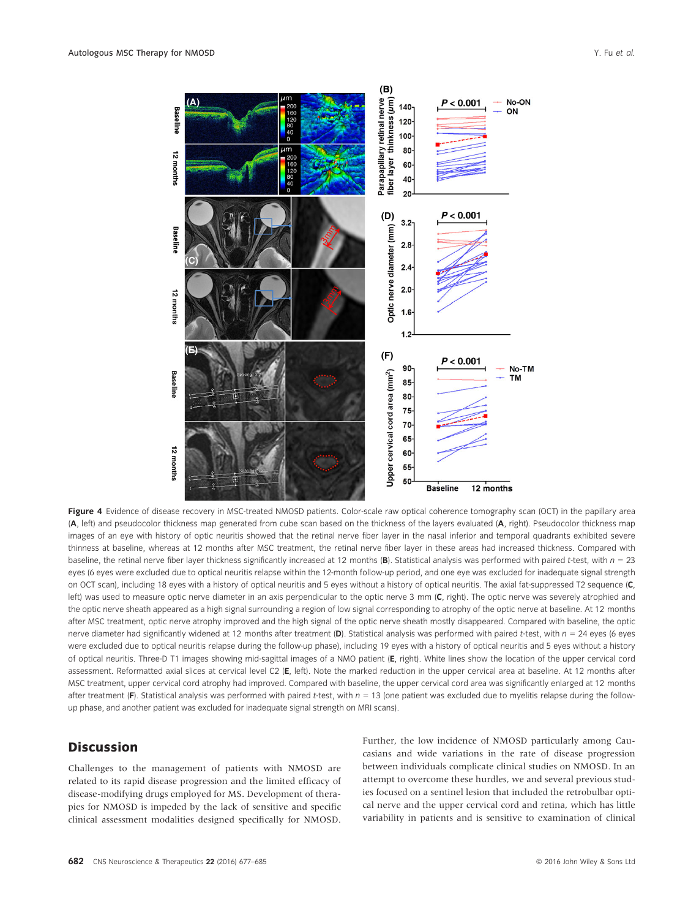

Figure 4 Evidence of disease recovery in MSC-treated NMOSD patients. Color-scale raw optical coherence tomography scan (OCT) in the papillary area (A, left) and pseudocolor thickness map generated from cube scan based on the thickness of the layers evaluated (A, right). Pseudocolor thickness map images of an eye with history of optic neuritis showed that the retinal nerve fiber layer in the nasal inferior and temporal quadrants exhibited severe thinness at baseline, whereas at 12 months after MSC treatment, the retinal nerve fiber layer in these areas had increased thickness. Compared with baseline, the retinal nerve fiber layer thickness significantly increased at 12 months (B). Statistical analysis was performed with paired t-test, with  $n = 23$ eyes (6 eyes were excluded due to optical neuritis relapse within the 12-month follow-up period, and one eye was excluded for inadequate signal strength on OCT scan), including 18 eyes with a history of optical neuritis and 5 eyes without a history of optical neuritis. The axial fat-suppressed T2 sequence (C, left) was used to measure optic nerve diameter in an axis perpendicular to the optic nerve 3 mm (C, right). The optic nerve was severely atrophied and the optic nerve sheath appeared as a high signal surrounding a region of low signal corresponding to atrophy of the optic nerve at baseline. At 12 months after MSC treatment, optic nerve atrophy improved and the high signal of the optic nerve sheath mostly disappeared. Compared with baseline, the optic nerve diameter had significantly widened at 12 months after treatment (D). Statistical analysis was performed with paired t-test, with  $n = 24$  eyes (6 eyes were excluded due to optical neuritis relapse during the follow-up phase), including 19 eyes with a history of optical neuritis and 5 eyes without a history of optical neuritis. Three-D T1 images showing mid-sagittal images of a NMO patient (E, right). White lines show the location of the upper cervical cord assessment. Reformatted axial slices at cervical level C2 (E, left). Note the marked reduction in the upper cervical area at baseline. At 12 months after MSC treatment, upper cervical cord atrophy had improved. Compared with baseline, the upper cervical cord area was significantly enlarged at 12 months after treatment (F). Statistical analysis was performed with paired t-test, with  $n = 13$  (one patient was excluded due to myelitis relapse during the followup phase, and another patient was excluded for inadequate signal strength on MRI scans).

## Discussion

Challenges to the management of patients with NMOSD are related to its rapid disease progression and the limited efficacy of disease-modifying drugs employed for MS. Development of therapies for NMOSD is impeded by the lack of sensitive and specific clinical assessment modalities designed specifically for NMOSD.

Further, the low incidence of NMOSD particularly among Caucasians and wide variations in the rate of disease progression between individuals complicate clinical studies on NMOSD. In an attempt to overcome these hurdles, we and several previous studies focused on a sentinel lesion that included the retrobulbar optical nerve and the upper cervical cord and retina, which has little variability in patients and is sensitive to examination of clinical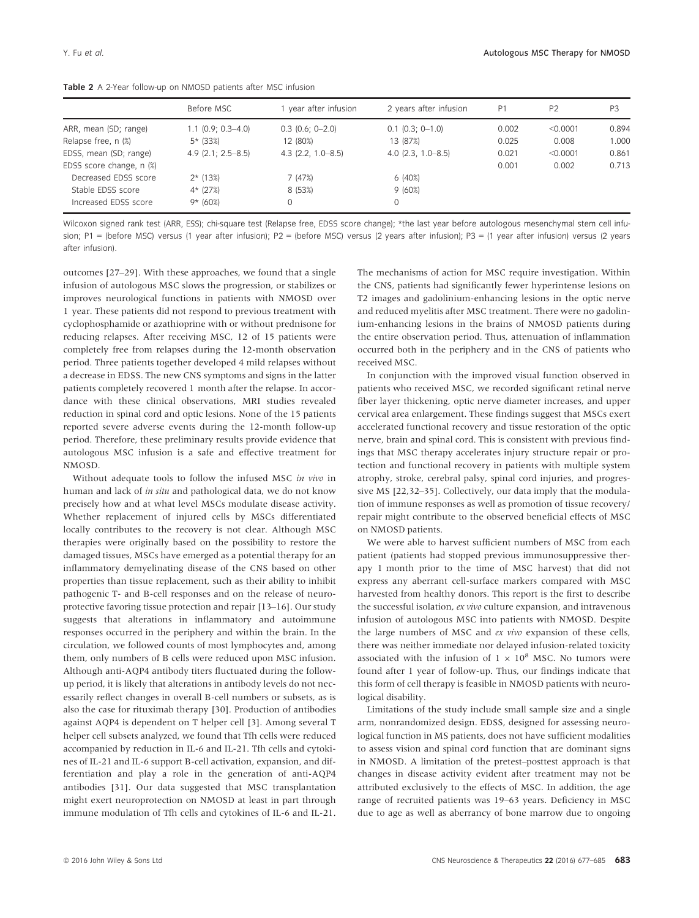|                          | Before MSC           | 1 year after infusion | 2 years after infusion | P <sub>1</sub> | P <sub>2</sub> | P <sub>3</sub> |
|--------------------------|----------------------|-----------------------|------------------------|----------------|----------------|----------------|
| ARR, mean (SD; range)    | 1.1 (0.9; 0.3-4.0)   | $0.3$ (0.6; 0-2.0)    | $0.1$ (0.3; 0-1.0)     | 0.002          | < 0.0001       | 0.894          |
| Relapse free, n (%)      | $5*$ (33%)           | 12 (80%)              | 13 (87%)               | 0.025          | 0.008          | 1.000          |
| EDSS, mean (SD; range)   | $4.9$ (2.1; 2.5-8.5) | $4.3$ (2.2, 1.0–8.5)  | $4.0$ (2.3, 1.0-8.5)   | 0.021          | < 0.0001       | 0.861          |
| EDSS score change, n (%) |                      |                       |                        | 0.001          | 0.002          | 0.713          |
| Decreased EDSS score     | $2*$ (13%)           | 7 (47%)               | 6 (40%)                |                |                |                |
| Stable EDSS score        | $4*$ (27%)           | 8 (53%)               | 9(60%)                 |                |                |                |
| Increased EDSS score     | $9* (60%)$           | $\Omega$              | 0                      |                |                |                |

Table 2 A 2-Year follow-up on NMOSD patients after MSC infusion

Wilcoxon signed rank test (ARR, ESS); chi-square test (Relapse free, EDSS score change); \*the last year before autologous mesenchymal stem cell infusion; P1 = (before MSC) versus (1 year after infusion); P2 = (before MSC) versus (2 years after infusion); P3 = (1 year after infusion) versus (2 years after infusion).

outcomes [27–29]. With these approaches, we found that a single infusion of autologous MSC slows the progression, or stabilizes or improves neurological functions in patients with NMOSD over 1 year. These patients did not respond to previous treatment with cyclophosphamide or azathioprine with or without prednisone for reducing relapses. After receiving MSC, 12 of 15 patients were completely free from relapses during the 12-month observation period. Three patients together developed 4 mild relapses without a decrease in EDSS. The new CNS symptoms and signs in the latter patients completely recovered 1 month after the relapse. In accordance with these clinical observations, MRI studies revealed reduction in spinal cord and optic lesions. None of the 15 patients reported severe adverse events during the 12-month follow-up period. Therefore, these preliminary results provide evidence that autologous MSC infusion is a safe and effective treatment for NMOSD.

Without adequate tools to follow the infused MSC in vivo in human and lack of in situ and pathological data, we do not know precisely how and at what level MSCs modulate disease activity. Whether replacement of injured cells by MSCs differentiated locally contributes to the recovery is not clear. Although MSC therapies were originally based on the possibility to restore the damaged tissues, MSCs have emerged as a potential therapy for an inflammatory demyelinating disease of the CNS based on other properties than tissue replacement, such as their ability to inhibit pathogenic T- and B-cell responses and on the release of neuroprotective favoring tissue protection and repair [13–16]. Our study suggests that alterations in inflammatory and autoimmune responses occurred in the periphery and within the brain. In the circulation, we followed counts of most lymphocytes and, among them, only numbers of B cells were reduced upon MSC infusion. Although anti-AQP4 antibody titers fluctuated during the followup period, it is likely that alterations in antibody levels do not necessarily reflect changes in overall B-cell numbers or subsets, as is also the case for rituximab therapy [30]. Production of antibodies against AQP4 is dependent on T helper cell [3]. Among several T helper cell subsets analyzed, we found that Tfh cells were reduced accompanied by reduction in IL-6 and IL-21. Tfh cells and cytokines of IL-21 and IL-6 support B-cell activation, expansion, and differentiation and play a role in the generation of anti-AQP4 antibodies [31]. Our data suggested that MSC transplantation might exert neuroprotection on NMOSD at least in part through immune modulation of Tfh cells and cytokines of IL-6 and IL-21.

The mechanisms of action for MSC require investigation. Within the CNS, patients had significantly fewer hyperintense lesions on T2 images and gadolinium-enhancing lesions in the optic nerve and reduced myelitis after MSC treatment. There were no gadolinium-enhancing lesions in the brains of NMOSD patients during the entire observation period. Thus, attenuation of inflammation occurred both in the periphery and in the CNS of patients who received MSC.

In conjunction with the improved visual function observed in patients who received MSC, we recorded significant retinal nerve fiber layer thickening, optic nerve diameter increases, and upper cervical area enlargement. These findings suggest that MSCs exert accelerated functional recovery and tissue restoration of the optic nerve, brain and spinal cord. This is consistent with previous findings that MSC therapy accelerates injury structure repair or protection and functional recovery in patients with multiple system atrophy, stroke, cerebral palsy, spinal cord injuries, and progressive MS [22,32–35]. Collectively, our data imply that the modulation of immune responses as well as promotion of tissue recovery/ repair might contribute to the observed beneficial effects of MSC on NMOSD patients.

We were able to harvest sufficient numbers of MSC from each patient (patients had stopped previous immunosuppressive therapy 1 month prior to the time of MSC harvest) that did not express any aberrant cell-surface markers compared with MSC harvested from healthy donors. This report is the first to describe the successful isolation, ex vivo culture expansion, and intravenous infusion of autologous MSC into patients with NMOSD. Despite the large numbers of MSC and ex vivo expansion of these cells, there was neither immediate nor delayed infusion-related toxicity associated with the infusion of  $1 \times 10^8$  MSC. No tumors were found after 1 year of follow-up. Thus, our findings indicate that this form of cell therapy is feasible in NMOSD patients with neurological disability.

Limitations of the study include small sample size and a single arm, nonrandomized design. EDSS, designed for assessing neurological function in MS patients, does not have sufficient modalities to assess vision and spinal cord function that are dominant signs in NMOSD. A limitation of the pretest–posttest approach is that changes in disease activity evident after treatment may not be attributed exclusively to the effects of MSC. In addition, the age range of recruited patients was 19–63 years. Deficiency in MSC due to age as well as aberrancy of bone marrow due to ongoing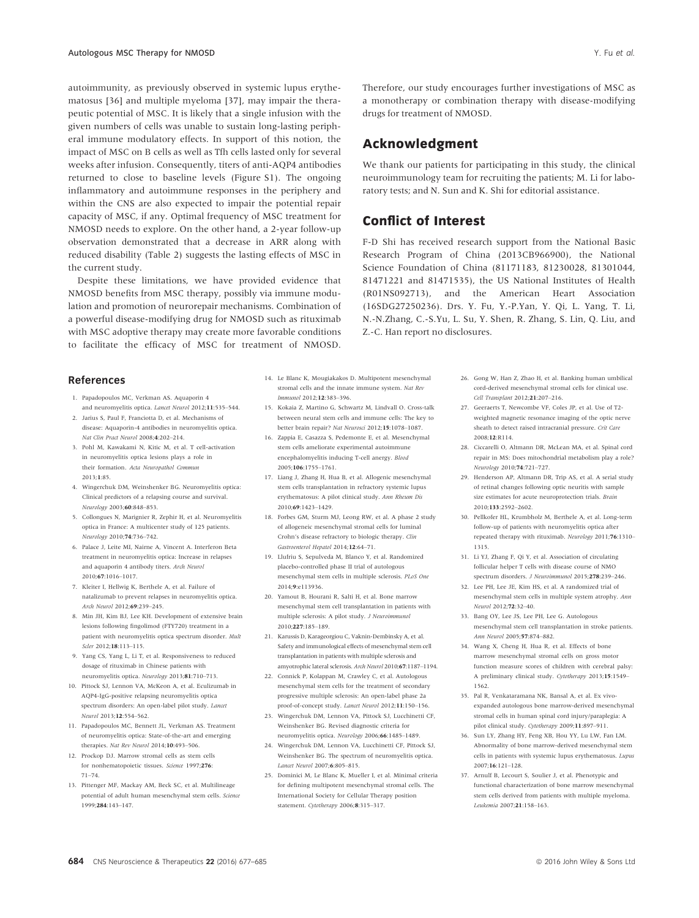autoimmunity, as previously observed in systemic lupus erythematosus [36] and multiple myeloma [37], may impair the therapeutic potential of MSC. It is likely that a single infusion with the given numbers of cells was unable to sustain long-lasting peripheral immune modulatory effects. In support of this notion, the impact of MSC on B cells as well as Tfh cells lasted only for several weeks after infusion. Consequently, titers of anti-AQP4 antibodies returned to close to baseline levels (Figure S1). The ongoing inflammatory and autoimmune responses in the periphery and within the CNS are also expected to impair the potential repair capacity of MSC, if any. Optimal frequency of MSC treatment for NMOSD needs to explore. On the other hand, a 2-year follow-up observation demonstrated that a decrease in ARR along with reduced disability (Table 2) suggests the lasting effects of MSC in the current study.

Despite these limitations, we have provided evidence that NMOSD benefits from MSC therapy, possibly via immune modulation and promotion of neurorepair mechanisms. Combination of a powerful disease-modifying drug for NMOSD such as rituximab with MSC adoptive therapy may create more favorable conditions to facilitate the efficacy of MSC for treatment of NMOSD.

#### References

- 1. Papadopoulos MC, Verkman AS. Aquaporin 4 and neuromyelitis optica. Lancet Neurol 2012;11:535–544.
- 2. Jarius S, Paul F, Franciotta D, et al. Mechanisms of disease: Aquaporin-4 antibodies in neuromyelitis optica. Nat Clin Pract Neurol 2008;4:202–214.
- 3. Pohl M, Kawakami N, Kitic M, et al. T cell-activation in neuromyelitis optica lesions plays a role in their formation. Acta Neuropathol Commun 2013;1:85.
- 4. Wingerchuk DM, Weinshenker BG. Neuromyelitis optica: Clinical predictors of a relapsing course and survival. Neurology 2003;60:848–853.
- 5. Collongues N, Marignier R, Zephir H, et al. Neuromyelitis optica in France: A multicenter study of 125 patients. Neurology 2010;74:736–742.
- 6. Palace J, Leite MI, Nairne A, Vincent A. Interferon Beta treatment in neuromyelitis optica: Increase in relapses and aquaporin 4 antibody titers. Arch Neurol 2010;67:1016–1017.
- 7. Kleiter I, Hellwig K, Berthele A, et al. Failure of natalizumab to prevent relapses in neuromyelitis optica. Arch Neurol 2012;69:239–245.
- 8. Min JH, Kim BJ, Lee KH. Development of extensive brain lesions following fingolimod (FTY720) treatment in a patient with neuromyelitis optica spectrum disorder. Mult Scler 2012;18:113–115.
- 9. Yang CS, Yang L, Li T, et al. Responsiveness to reduced dosage of rituximab in Chinese patients with neuromyelitis optica. Neurology 2013;81:710–713.
- 10. Pittock SJ, Lennon VA, McKeon A, et al. Eculizumab in AQP4-IgG-positive relapsing neuromyelitis optica spectrum disorders: An open-label pilot study. Lancet Neurol 2013;12:554–562.
- 11. Papadopoulos MC, Bennett JL, Verkman AS. Treatment of neuromyelitis optica: State-of-the-art and emerging therapies. Nat Rev Neurol 2014;10:493–506.
- 12. Prockop DJ. Marrow stromal cells as stem cells for nonhematopoietic tissues. Science 1997;276: 71–74.
- 13. Pittenger MF, Mackay AM, Beck SC, et al. Multilineage potential of adult human mesenchymal stem cells. Science 1999;284:143–147.
- 14. Le Blanc K, Mougiakakos D. Multipotent mesenchymal stromal cells and the innate immune system. Nat Rev Immunol 2012;12:383–396.
- 15. Kokaia Z, Martino G, Schwartz M, Lindvall O. Cross-talk between neural stem cells and immune cells: The key to better brain repair? Nat Neurosci 2012;15:1078–1087.
- 16. Zappia E, Casazza S, Pedemonte E, et al. Mesenchymal stem cells ameliorate experimental autoimmune encephalomyelitis inducing T-cell anergy. Blood 2005;106:1755–1761.
- 17. Liang J, Zhang H, Hua B, et al. Allogenic mesenchymal stem cells transplantation in refractory systemic lupus erythematosus: A pilot clinical study. Ann Rheum Dis 2010;69:1423–1429.
- 18. Forbes GM, Sturm MJ, Leong RW, et al. A phase 2 study of allogeneic mesenchymal stromal cells for luminal Crohn's disease refractory to biologic therapy. Clin Gastroenterol Hepatol 2014;12:64–71.
- 19. Llufriu S, Sepulveda M, Blanco Y, et al. Randomized placebo-controlled phase II trial of autologous mesenchymal stem cells in multiple sclerosis. PLoS One 2014;9:e113936.
- 20. Yamout B, Hourani R, Salti H, et al. Bone marrow mesenchymal stem cell transplantation in patients with multiple sclerosis: A pilot study.  $J$   $\it Neuro immunol$ 2010;227:185–189.
- 21. Karussis D, Karageorgiou C, Vaknin-Dembinsky A, et al. Safety and immunological effects of mesenchymal stem cell transplantation in patients with multiple sclerosis and amyotrophic lateral sclerosis. Arch Neurol 2010;67:1187–1194.
- 22. Connick P, Kolappan M, Crawley C, et al. Autologous mesenchymal stem cells for the treatment of secondary progressive multiple sclerosis: An open-label phase 2a proof-of-concept study. Lancet Neurol 2012;11:150–156.
- 23. Wingerchuk DM, Lennon VA, Pittock SJ, Lucchinetti CF, Weinshenker BG. Revised diagnostic criteria for neuromyelitis optica. Neurology 2006;66:1485–1489.
- 24. Wingerchuk DM, Lennon VA, Lucchinetti CF, Pittock SJ, Weinshenker BG. The spectrum of neuromyelitis optica. Lancet Neurol 2007;6:805–815.
- 25. Dominici M, Le Blanc K, Mueller I, et al. Minimal criteria for defining multipotent mesenchymal stromal cells. The International Society for Cellular Therapy position statement. Cytotherapy 2006;8:315-317.

## Acknowledgment

We thank our patients for participating in this study, the clinical neuroimmunology team for recruiting the patients; M. Li for laboratory tests; and N. Sun and K. Shi for editorial assistance.

## Conflict of Interest

F-D Shi has received research support from the National Basic Research Program of China (2013CB966900), the National Science Foundation of China (81171183, 81230028, 81301044, 81471221 and 81471535), the US National Institutes of Health (R01NS092713), and the American Heart Association (16SDG27250236). Drs. Y. Fu, Y.-P.Yan, Y. Qi, L. Yang, T. Li, N.-N.Zhang, C.-S.Yu, L. Su, Y. Shen, R. Zhang, S. Lin, Q. Liu, and Z.-C. Han report no disclosures.

- 26. Gong W, Han Z, Zhao H, et al. Banking human umbilical cord-derived mesenchymal stromal cells for clinical use. Cell Transplant 2012;21:207–216.
- 27. Geeraerts T, Newcombe VF, Coles JP, et al. Use of T2 weighted magnetic resonance imaging of the optic nerve sheath to detect raised intracranial pressure. Crit Care 2008;12:R114.
- 28. Ciccarelli O, Altmann DR, McLean MA, et al. Spinal cord repair in MS: Does mitochondrial metabolism play a role? Neurology 2010;74:721–727.
- 29. Henderson AP, Altmann DR, Trip AS, et al. A serial study of retinal changes following optic neuritis with sample size estimates for acute neuroprotection trials. Brain 2010;133:2592–2602.
- 30. Pellkofer HL, Krumbholz M, Berthele A, et al. Long-term follow-up of patients with neuromyelitis optica after repeated therapy with rituximab. Neurology 2011;76:1310– 1315.
- 31. Li YJ, Zhang F, Qi Y, et al. Association of circulating follicular helper T cells with disease course of NMO spectrum disorders. *J Neuroimmunol* 2015:278:239-246.
- 32. Lee PH, Lee JE, Kim HS, et al. A randomized trial of mesenchymal stem cells in multiple system atrophy. Ann Neurol 2012;72:32–40.
- 33. Bang OY, Lee JS, Lee PH, Lee G. Autologous mesenchymal stem cell transplantation in stroke patients. Ann Neurol 2005;57:874–882.
- 34. Wang X, Cheng H, Hua R, et al. Effects of bone marrow mesenchymal stromal cells on gross motor function measure scores of children with cerebral palsy: A preliminary clinical study. Cytotherapy 2013;15:1549– 1562.
- 35. Pal R, Venkataramana NK, Bansal A, et al. Ex vivoexpanded autologous bone marrow-derived mesenchymal stromal cells in human spinal cord injury/paraplegia: A pilot clinical study. Cytotherapy 2009;11:897–911.
- 36. Sun LY, Zhang HY, Feng XB, Hou YY, Lu LW, Fan LM. Abnormality of bone marrow-derived mesenchymal stem cells in patients with systemic lupus erythematosus. Lupus 2007;16:121–128.
- 37. Arnulf B, Lecourt S, Soulier J, et al. Phenotypic and functional characterization of bone marrow mesenchymal stem cells derived from patients with multiple myeloma. Leukemia 2007;21:158–163.